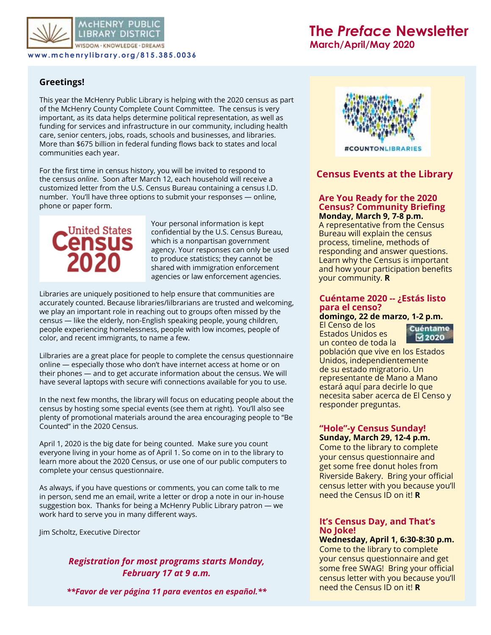

**MCHENRY PUBL** LIBRARY DISTRIC VISDOM - KNOWLEDGE - DREAMS

**www.mchenrylibrary.org/815.385.0036**

# **The** *Preface* **Newsletter**

**March/April/May 2020**

## **Greetings!**

This year the McHenry Public Library is helping with the 2020 census as part of the McHenry County Complete Count Committee. The census is very important, as its data helps determine political representation, as well as funding for services and infrastructure in our community, including health care, senior centers, jobs, roads, schools and businesses, and libraries. More than \$675 billion in federal funding flows back to states and local communities each year.

For the first time in census history, you will be invited to respond to the census *online*. Soon after March 12, each household will receive a customized letter from the U.S. Census Bureau containing a census I.D. number. You'll have three options to submit your responses — online, phone or paper form.



Your personal information is kept confidential by the U.S. Census Bureau, which is a nonpartisan government agency. Your responses can only be used to produce statistics; they cannot be shared with immigration enforcement agencies or law enforcement agencies.

Libraries are uniquely positioned to help ensure that communities are accurately counted. Because libraries/lilbrarians are trusted and welcoming, we play an important role in reaching out to groups often missed by the census — like the elderly, non-English speaking people, young children, people experiencing homelessness, people with low incomes, people of color, and recent immigrants, to name a few.

Lilbraries are a great place for people to complete the census questionnaire online — especially those who don't have internet access at home or on their phones — and to get accurate information about the census. We will have several laptops with secure wifi connections available for you to use.

In the next few months, the library will focus on educating people about the census by hosting some special events (see them at right). You'll also see plenty of promotional materials around the area encouraging people to "Be Counted" in the 2020 Census.

April 1, 2020 is the big date for being counted. Make sure you count everyone living in your home as of April 1. So come on in to the library to learn more about the 2020 Census, or use one of our public computers to complete your census questionnaire.

As always, if you have questions or comments, you can come talk to me in person, send me an email, write a letter or drop a note in our in-house suggestion box. Thanks for being a McHenry Public Library patron — we work hard to serve you in many different ways.

Jim Scholtz, Executive Director

## *Registration for most programs starts Monday, February 17 at 9 a.m.*

*\*\*Favor de ver página 11 para eventos en español.\*\**



## **Census Events at the Library**

#### **Are You Ready for the 2020 Census? Community Briefing Monday, March 9, 7-8 p.m.**

A representative from the Census Bureau will explain the census process, timeline, methods of responding and answer questions. Learn why the Census is important and how your participation benefits your community. **R**

#### **Cuéntame 2020 -- ¿Estás listo para el censo?**

**domingo, 22 de marzo, 1-2 p.m.** El Censo de los Estados Unidos es



un conteo de toda la población que vive en los Estados Unidos, independientemente de su estado migratorio. Un representante de Mano a Mano estará aquí para decirle lo que necesita saber acerca de El Censo y responder preguntas.

#### **"Hole"-y Census Sunday! Sunday, March 29, 12-4 p.m.**

Come to the library to complete your census questionnaire and get some free donut holes from Riverside Bakery. Bring your official census letter with you because you'll need the Census ID on it! **R**

#### **It's Census Day, and That's No Joke!**

**Wednesday, April 1, 6:30-8:30 p.m.** Come to the library to complete your census questionnaire and get some free SWAG! Bring your official census letter with you because you'll need the Census ID on it! **R**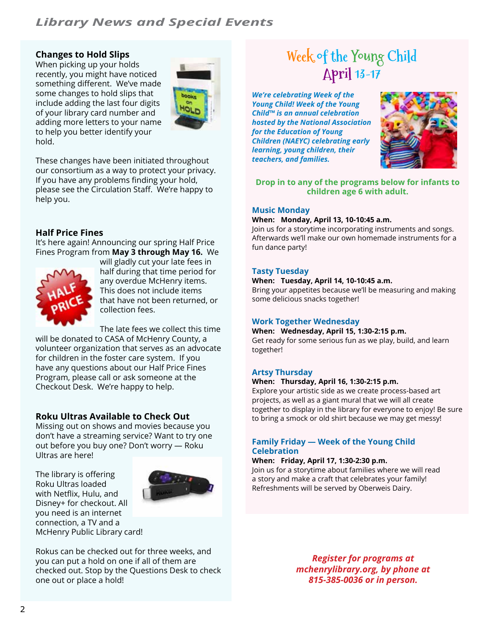## *Library News and Special Events*

## **Changes to Hold Slips**

When picking up your holds recently, you might have noticed something different. We've made some changes to hold slips that include adding the last four digits of your library card number and adding more letters to your name to help you better identify your hold.



These changes have been initiated throughout our consortium as a way to protect your privacy. If you have any problems finding your hold, please see the Circulation Staff. We're happy to help you.

## **Half Price Fines**

It's here again! Announcing our spring Half Price Fines Program from **May 3 through May 16.** We



will gladly cut your late fees in half during that time period for any overdue McHenry items. This does not include items that have not been returned, or collection fees.

The late fees we collect this time

will be donated to CASA of McHenry County, a volunteer organization that serves as an advocate for children in the foster care system. If you have any questions about our Half Price Fines Program, please call or ask someone at the Checkout Desk. We're happy to help.

## **Roku Ultras Available to Check Out**

Missing out on shows and movies because you don't have a streaming service? Want to try one out before you buy one? Don't worry — Roku Ultras are here!

The library is offering Roku Ultras loaded with Netflix, Hulu, and Disney+ for checkout. All you need is an internet connection, a TV and a McHenry Public Library card!



Rokus can be checked out for three weeks, and you can put a hold on one if all of them are checked out. Stop by the Questions Desk to check one out or place a hold!

# **Week of the Young Child April 13-17**

*We're celebrating Week of the Young Child! Week of the Young Child™ is an annual celebration hosted by the National Association for the Education of Young Children (NAEYC) celebrating early learning, young children, their teachers, and families.*



**Drop in to any of the programs below for infants to children age 6 with adult.**

#### **Music Monday**

#### **When: Monday, April 13, 10-10:45 a.m.**

Join us for a storytime incorporating instruments and songs. Afterwards we'll make our own homemade instruments for a fun dance party!

#### **Tasty Tuesday**

#### **When: Tuesday, April 14, 10-10:45 a.m.**

Bring your appetites because we'll be measuring and making some delicious snacks together!

#### **Work Together Wednesday**

**When: Wednesday, April 15, 1:30-2:15 p.m.**

Get ready for some serious fun as we play, build, and learn together!

## **Artsy Thursday**

#### **When: Thursday, April 16, 1:30-2:15 p.m.**

Explore your artistic side as we create process-based art projects, as well as a giant mural that we will all create together to display in the library for everyone to enjoy! Be sure to bring a smock or old shirt because we may get messy!

#### **Family Friday — Week of the Young Child Celebration**

#### **When: Friday, April 17, 1:30-2:30 p.m.**

Join us for a storytime about families where we will read a story and make a craft that celebrates your family! Refreshments will be served by Oberweis Dairy.

> *Register for programs at mchenrylibrary.org, by phone at 815-385-0036 or in person.*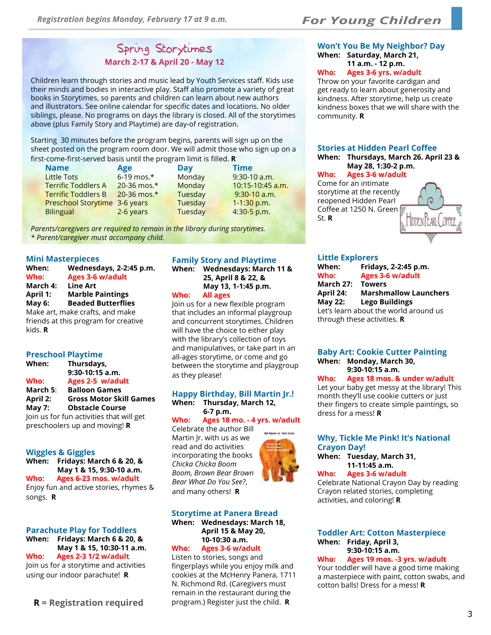## *For Young Children*

## Spring Storytimes **March 2-17 & April 20 - May 12**

Children learn through stories and music lead by Youth Services staff. Kids use their minds and bodies in interactive play. Staff also promote a variety of great books in Storytimes, so parents and children can learn about new authors and illustrators. See online calendar for specific dates and locations. No older siblings, please. No programs on days the library is closed. All of the storytimes above (plus Family Story and Playtime) are day-of registration.

Starting 30 minutes before the program begins, parents will sign up on the sheet posted on the program room door. We will admit those who sign up on a first-come-first-served basis until the program limit is filled. **R**

| <b>Name</b>                   | Age                | Day     | <b>Time</b>      |
|-------------------------------|--------------------|---------|------------------|
| <b>Little Tots</b>            | $6-19$ mos.*       | Monday  | $9:30-10$ a.m.   |
| <b>Terrific Toddlers A</b>    | $20 - 36$ mos. $*$ | Monday  | 10:15-10:45 a.m. |
| <b>Terrific Toddlers B</b>    | 20-36 mos.*        | Tuesday | $9:30-10$ a.m.   |
| Preschool Storytime 3-6 years |                    | Tuesday | $1-1:30$ p.m.    |
| <b>Bilingual</b>              | 2-6 years          | Tuesday | 4:30-5 p.m.      |

*Parents/caregivers are required to remain in the library during storytimes. \* Parent/caregiver must accompany child.*

#### **Mini Masterpieces**

| When:           | Wednesdays, 2-2:45 p.m.              |
|-----------------|--------------------------------------|
| Who:            | <b>Ages 3-6 w/adult</b>              |
| March 4:        | <b>Line Art</b>                      |
| <b>April 1:</b> | <b>Marble Paintings</b>              |
| <b>May 6:</b>   | <b>Beaded Butterflies</b>            |
|                 | Make art, make crafts, and make      |
|                 | friends at this program for creative |
| kids. R         |                                      |

#### **Preschool Playtime**

| When:           | Thursdays,                               |
|-----------------|------------------------------------------|
|                 | $9:30-10:15$ a.m.                        |
| Who:            | Ages 2-5 w/adult                         |
| March 5:        | <b>Balloon Games</b>                     |
| <b>April 2:</b> | <b>Gross Motor Skill Games</b>           |
| May $7:$        | <b>Obstacle Course</b>                   |
|                 | Join us for fun activities that will get |
|                 | preschoolers up and moving! R            |

**Wiggles & Giggles**

**When: Fridays: March 6 & 20, & May 1 & 15, 9:30-10 a.m. Who: Ages 6-23 mos. w/adult** Enjoy fun and active stories, rhymes & songs. **R**

#### **Parachute Play for Toddlers When: Fridays: March 6 & 20, & May 1 & 15, 10:30-11 a.m. Who: Ages 2-3 1/2 w/adult** Join us for a storytime and activities

using our indoor parachute! **R**

#### **Family Story and Playtime When: Wednesdays: March 11 &**

**25, April 8 & 22, & May 13, 1-1:45 p.m. Who: All ages**

Join us for a new flexible program that includes an informal playgroup and concurrent storytimes. Children will have the choice to either play with the library's collection of toys and manipulatives, or take part in an all-ages storytime, or come and go between the storytime and playgroup as they please!

## **Happy Birthday, Bill Martin Jr.!**

**When: Thursday, March 12, 6-7 p.m.**

**Who: Ages 18 mo. - 4 yrs. w/adult** Celebrate the author Bill

Martin Jr. with us as we read and do activities incorporating the books *Chicka Chicka Boom Boom, Brown Bear Brown Bear What Do You See?*, and many others! **R**



#### **Storytime at Panera Bread When: Wednesdays: March 18,**

**April 15 & May 20, 10-10:30 a.m.**

## **Who: Ages 3-6 w/adult**

Listen to stories, songs and fingerplays while you enjoy milk and cookies at the McHenry Panera, 1711 N. Richmond Rd. (Caregivers must remain in the restaurant during the program.) Register just the child. **R**

#### **Won't You Be My Neighbor? Day When: Saturday, March 21, 11 a.m. - 12 p.m.**

**Who: Ages 3-6 yrs. w/adult**

Throw on your favorite cardigan and get ready to learn about generosity and kindness. After storytime, help us create kindness boxes that we will share with the community. **R**

#### **Stories at Hidden Pearl Coffee When: Thursdays, March 26. April 23 & May 28, 1:30-2 p.m.**

**Who: Ages 3-6 w/adult** Come for an intimate storytime at the recently reopened Hidden Pearl Coffee at 1250 N. Green St. **R**

#### **Little Explorers**

| When:          | Fridays, 2-2:45 p.m.                  |
|----------------|---------------------------------------|
| Who:           | Ages 3-6 w/adult                      |
| March 27:      | <b>Towers</b>                         |
| April 24:      | <b>Marshmallow Launchers</b>          |
| <b>May 22:</b> | <b>Lego Buildings</b>                 |
|                | Let's learn about the world around us |
|                | through these activities. <b>R</b>    |

#### **Baby Art: Cookie Cutter Painting When: Monday, March 30,**

**9:30-10:15 a.m. Who: Ages 18 mos. & under w/adult**

Let your baby get messy at the library! This month they'll use cookie cutters or just their fingers to create simple paintings, so dress for a mess! **R**

#### **Why, Tickle Me Pink! It's National Crayon Day!**

**When: Tuesday, March 31, 11-11:45 a.m.** 

#### **Who: Ages 3-6 w/adult**

Celebrate National Crayon Day by reading Crayon related stories, completing activities, and coloring! **R**

#### **Toddler Art: Cotton Masterpiece When: Friday, April 3, 9:30-10:15 a.m.**

**Who: Ages 19 mos. -3 yrs. w/adult** Your toddler will have a good time making a masterpiece with paint, cotton swabs, and cotton balls! Dress for a mess! **R**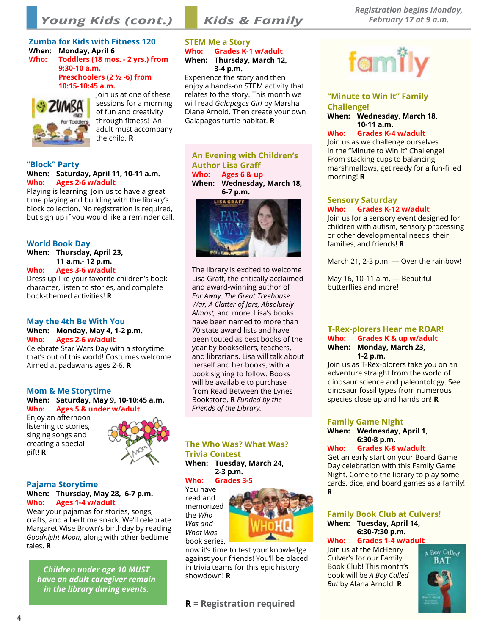*Young Kids (cont.)*

## *Kids & Family*

#### **Zumba for Kids with Fitness 120 When: Monday, April 6**

**Who: Toddlers (18 mos. - 2 yrs.) from 9:30-10 a.m. Preschoolers (2 ½ -6) from** 

**10:15-10:45 a.m.**



Join us at one of these sessions for a morning of fun and creativity through fitness! An adult must accompany the child. **R**

#### **"Block" Party When: Saturday, April 11, 10-11 a.m. Who: Ages 2-6 w/adult**

Playing is learning! Join us to have a great time playing and building with the library's block collection. No registration is required, but sign up if you would like a reminder call.

#### **World Book Day**

**When: Thursday, April 23, 11 a.m.- 12 p.m. Who: Ages 3-6 w/adult**

Dress up like your favorite children's book

character, listen to stories, and complete book-themed activities! **R**

## **May the 4th Be With You When: Monday, May 4, 1-2 p.m.**

**Who: Ages 2-6 w/adult** Celebrate Star Wars Day with a storytime that's out of this world! Costumes welcome. Aimed at padawans ages 2-6. **R**

#### **Mom & Me Storytime**

**When: Saturday, May 9, 10-10:45 a.m. Who: Ages 5 & under w/adult**

Enjoy an afternoon listening to stories, singing songs and creating a special gift! **R**



## **Pajama Storytime**

#### **When: Thursday, May 28, 6-7 p.m. Who: Ages 1-4 w/adult**

Wear your pajamas for stories, songs, crafts, and a bedtime snack. We'll celebrate Margaret Wise Brown's birthday by reading *Goodnight Moon*, along with other bedtime tales. **R**

*Children under age 10 MUST have an adult caregiver remain in the library during events.*

#### **STEM Me a Story Who: Grades K-1 w/adult When: Thursday, March 12, 3-4 p.m.**

Experience the story and then enjoy a hands-on STEM activity that relates to the story. This month we will read *Galapagos Girl* by Marsha Diane Arnold. Then create your own Galapagos turtle habitat. **R**

**An Evening with Children's Author Lisa Graff Who: Ages 6 & up When: Wednesday, March 18, 6-7 p.m.**



The library is excited to welcome Lisa Graff, the critically acclaimed and award-winning author of *Far Away, The Great Treehouse War, A Clatter of Jars, Absolutely Almost,* and more! Lisa's books have been named to more than 70 state award lists and have been touted as best books of the year by booksellers, teachers, and librarians. Lisa will talk about herself and her books, with a book signing to follow. Books will be available to purchase from Read Between the Lynes Bookstore. **R** *Funded by the Friends of the Library.* 

#### **The Who Was? What Was? Trivia Contest When: Tuesday, March 24,**

#### **2-3 p.m. Who: Grades 3-5**

You have read and memorized the *Who Was and What Was* book series,



now it's time to test your knowledge against your friends! You'll be placed in trivia teams for this epic history showdown! **R**

**R = Registration required**



#### **"Minute to Win It" Family Challenge! When: Wednesday, March 18, 10-11 a.m.**

**Who: Grades K-4 w/adult** Join us as we challenge ourselves in the "Minute to Win It" Challenge! From stacking cups to balancing marshmallows, get ready for a fun-filled morning! **R**

#### **Sensory Saturday Who: Grades K-12 w/adult**

Join us for a sensory event designed for children with autism, sensory processing or other developmental needs, their families, and friends! **R**

March 21, 2-3 p.m. — Over the rainbow!

May 16, 10-11 a.m. — Beautiful butterflies and more!

#### **T-Rex-plorers Hear me ROAR! Who: Grades K & up w/adult When: Monday, March 23, 1-2 p.m.**

Join us as T-Rex-plorers take you on an adventure straight from the world of dinosaur science and paleontology. See dinosaur fossil types from numerous species close up and hands on! **R**

#### **Family Game Night When: Wednesday, April 1, 6:30-8 p.m.**

## **Who: Grades K-8 w/adult**

Get an early start on your Board Game Day celebration with this Family Game Night. Come to the library to play some cards, dice, and board games as a family! **R**

#### **Family Book Club at Culvers! When: Tuesday, April 14, 6:30-7:30 p.m.**

## **Who: Grades 1-4 w/adult**

Join us at the McHenry Culver's for our Family Book Club! This month's book will be *A Boy Called Bat* by Alana Arnold. **R**

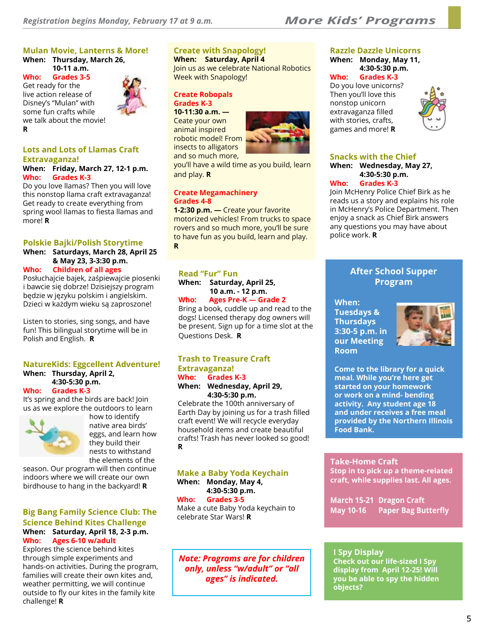## **Mulan Movie, Lanterns & More!**

**When: Thursday, March 26, 10-11 a.m.**

**Who: Grades 3-5** Get ready for the live action release of Disney's "Mulan" with some fun crafts while we talk about the movie! **R**



## **Lots and Lots of Llamas Craft Extravaganza!**

#### **When: Friday, March 27, 12-1 p.m. Who: Grades K-3**

Do you love llamas? Then you will love this nonstop llama craft extravaganza! Get ready to create everything from spring wool llamas to fiesta llamas and more! **R**

#### **Polskie Bajki/Polish Storytime**

#### **When: Saturdays, March 28, April 25 & May 23, 3-3:30 p.m. Who: Children of all ages**

Posłuchajcie bajek, zaśpiewajcie piosenki i bawcie się dobrze! Dzisiejszy program będzie w języku polskim i angielskim. Dzieci w każdym wieku są zaproszone!

Listen to stories, sing songs, and have fun! This bilingual storytime will be in Polish and English. **R**

#### **NatureKids: Eggcellent Adventure! When: Thursday, April 2, 4:30-5:30 p.m.**

#### **Who: Grades K-3**

It's spring and the birds are back! Join us as we explore the outdoors to learn



how to identify native area birds' eggs, and learn how they build their nests to withstand the elements of the

season. Our program will then continue indoors where we will create our own birdhouse to hang in the backyard! **R**

#### **Big Bang Family Science Club: The Science Behind Kites Challenge When: Saturday, April 18, 2-3 p.m. Who: Ages 6-10 w/adult**

Explores the science behind kites through simple experiments and hands-on activities. During the program, families will create their own kites and, weather permitting, we will continue outside to fly our kites in the family kite challenge! **R**

## **Create with Snapology!**

**When: Saturday, April 4**  Join us as we celebrate National Robotics Week with Snapology!

#### **Create Robopals Grades K-3 10-11:30 a.m. —**

Ceate your own animal inspired robotic model! From insects to alligators and so much more,



you'll have a wild time as you build, learn and play. **R**

#### **Create Megamachinery Grades 4-8**

**1-2:30 p.m. —** Create your favorite motorized vehicles! From trucks to space rovers and so much more, you'll be sure to have fun as you build, learn and play. **R**

#### **Read "Fur" Fun**

**When: Saturday, April 25, 10 a.m. - 12 p.m.**

**Who: Ages Pre-K — Grade 2** Bring a book, cuddle up and read to the

dogs! Licensed therapy dog owners will be present. Sign up for a time slot at the Questions Desk. **R**

### **Trash to Treasure Craft Extravaganza! Who: Grades K-3**

**When: Wednesday, April 29, 4:30-5:30 p.m.**

Celebrate the 100th anniversary of Earth Day by joining us for a trash filled craft event! We will recycle everyday household items and create beautiful crafts! Trash has never looked so good! **R**

#### **Make a Baby Yoda Keychain**

**When: Monday, May 4, 4:30-5:30 p.m.**

**Who: Grades 3-5**

Make a cute Baby Yoda keychain to celebrate Star Wars! **R**

*Note: Programs are for children only, unless "w/adult" or "all ages" is indicated.*

## **Razzle Dazzle Unicorns**

**When: Monday, May 11, 4:30-5:30 p.m.**

#### **Who: Grades K-3**

Do you love unicorns? Then you'll love this nonstop unicorn extravaganza filled with stories, crafts, games and more! **R**



## **Snacks with the Chief**

**When: Wednesday, May 27, 4:30-5:30 p.m.**

#### **Who: Grades K-3**

Join McHenry Police Chief Birk as he reads us a story and explains his role in McHenry's Police Department. Then enjoy a snack as Chief Birk answers any questions you may have about police work. **R**

## **After School Supper Program**

**When: Tuesdays & Thursdays 3:30-5 p.m. in our Meeting Room**



**Come to the library for a quick meal. While you're here get started on your homework or work on a mind- bending activity. Any student age 18 and under receives a free meal provided by the Northern Illinois Food Bank.**

#### **Take-Home Craft**

**Stop in to pick up a theme-related craft, while supplies last. All ages.**

**March 15-21 Dragon Craft May 10-16 Paper Bag Butterfly**

#### **I Spy Display**

**Check out our life-sized I Spy display from April 12-25! Will you be able to spy the hidden objects?**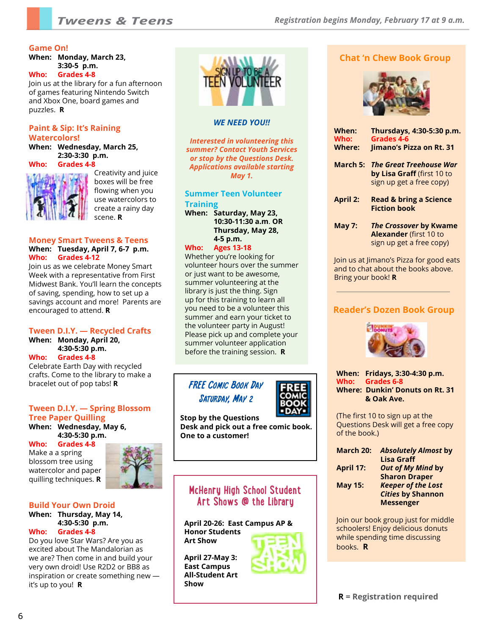#### **Game On!**

**When: Monday, March 23, 3:30-5 p.m.**

**Who: Grades 4-8** Join us at the library for a fun afternoon

of games featuring Nintendo Switch and Xbox One, board games and puzzles. **R**

#### **Paint & Sip: It's Raining Watercolors!**

**When: Wednesday, March 25, 2:30-3:30 p.m. Who: Grades 4-8**



Creativity and juice boxes will be free flowing when you use watercolors to create a rainy day scene. **R**

#### **Money Smart Tweens & Teens When: Tuesday, April 7, 6-7 p.m. Who: Grades 4-12**

Join us as we celebrate Money Smart Week with a representative from First Midwest Bank. You'll learn the concepts of saving, spending, how to set up a savings account and more! Parents are encouraged to attend. **R**

#### **Tween D.I.Y. — Recycled Crafts**

**When: Monday, April 20, 4:30-5:30 p.m.**

#### **Who: Grades 4-8**

Celebrate Earth Day with recycled crafts. Come to the library to make a bracelet out of pop tabs! **R**

#### **Tween D.I.Y. — Spring Blossom Tree Paper Quilling When: Wednesday, May 6, 4:30-5:30 p.m.**

**Who: Grades 4-8** Make a a spring blossom tree using watercolor and paper

quilling techniques. **R**



#### **Build Your Own Droid**

#### **When: Thursday, May 14, 4:30-5:30 p.m. Who: Grades 4-8**

Do you love Star Wars? Are you as excited about The Mandalorian as we are? Then come in and build your very own droid! Use R2D2 or BB8 as inspiration or create something new it's up to you! **R**



#### *WE NEED YOU!!*

*Interested in volunteering this summer? Contact Youth Services or stop by the Questions Desk. Applications available starting May 1.* 

**Summer Teen Volunteer Training When: Saturday, May 23, 10:30-11:30 a.m**. **OR** 

**Thursday, May 28, 4-5 p.m.**

#### **Who: Ages 13-18**

Whether you're looking for volunteer hours over the summer or just want to be awesome, summer volunteering at the library is just the thing. Sign up for this training to learn all you need to be a volunteer this summer and earn your ticket to the volunteer party in August! Please pick up and complete your summer volunteer application before the training session. **R**

## FREE Comic Book Day Saturday, May 2



**Stop by the Questions Desk and pick out a free comic book. One to a customer!** 

## **McHenry High School Student Art Shows @ the Library**

**April 20-26: East Campus AP & Honor Students Art Show**

**April 27-May 3: East Campus All-Student Art Show**





| When:<br>Who:<br><b>Where:</b> | Thursdays, 4:30-5:30 p.m.<br>Grades 4-6<br><b>Jimano's Pizza on Rt. 31</b>                 |
|--------------------------------|--------------------------------------------------------------------------------------------|
| March 5:                       | <b>The Great Treehouse War</b><br>by Lisa Graff (first 10 to<br>sign up get a free copy)   |
| <b>April 2:</b>                | <b>Read &amp; bring a Science</b><br><b>Fiction book</b>                                   |
| <b>May 7:</b>                  | <b>The Crossover by Kwame</b><br><b>Alexander</b> (first 10 to<br>sign up get a free copy) |

Join us at Jimano's Pizza for good eats and to chat about the books above. Bring your book! **R**

## **Reader's Dozen Book Group**



**When: Fridays, 3:30-4:30 p.m. Who: Grades 6-8 Where: Dunkin' Donuts on Rt. 31 & Oak Ave.**

(The first 10 to sign up at the Questions Desk will get a free copy of the book.)

| March 20:      | <b>Absolutely Almost by</b> |
|----------------|-----------------------------|
|                | <b>Lisa Graff</b>           |
| April 17:      | Out of My Mind by           |
|                | <b>Sharon Draper</b>        |
| <b>May 15:</b> | <b>Keeper of the Lost</b>   |
|                | <b>Cities by Shannon</b>    |
|                | <b>Messenger</b>            |

Join our book group just for middle schoolers! Enjoy delicious donuts while spending time discussing books. **R**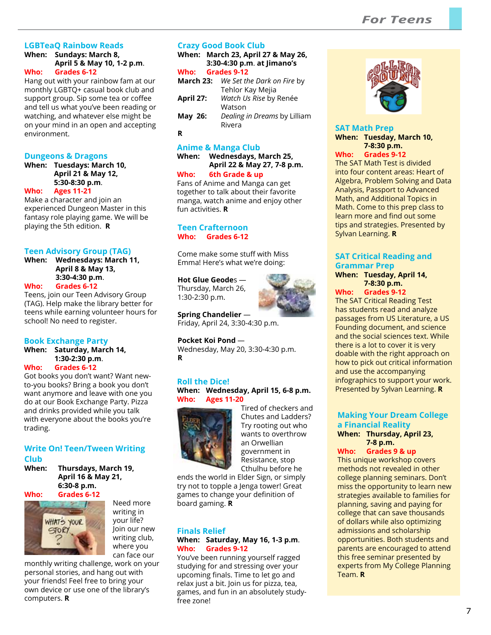## **LGBTeaQ Rainbow Reads**

**When: Sundays: March 8, April 5 & May 10, 1-2 p.m**. **Who: Grades 6-12**

Hang out with your rainbow fam at our monthly LGBTQ+ casual book club and support group. Sip some tea or coffee and tell us what you've been reading or watching, and whatever else might be on your mind in an open and accepting environment.

#### **Dungeons & Dragons**

**When: Tuesdays: March 10, April 21 & May 12, 5:30-8:30 p.m**. **Who: Ages 11-21**

Make a character and join an experienced Dungeon Master in this fantasy role playing game. We will be playing the 5th edition. **R**

#### **Teen Advisory Group (TAG)**

**When: Wednesdays: March 11, April 8 & May 13, 3:30-4:30 p.m**. **Who: Grades 6-12**

Teens, join our Teen Advisory Group (TAG). Help make the library better for teens while earning volunteer hours for school! No need to register.

#### **Book Exchange Party**

#### **When: Saturday, March 14, 1:30-2:30 p.m**. **Who: Grades 6-12**

Got books you don't want? Want newto-you books? Bring a book you don't want anymore and leave with one you do at our Book Exchange Party. Pizza and drinks provided while you talk with everyone about the books you're trading.

## **Write On! Teen/Tween Writing Club**

**When: Thursdays, March 19, April 16 & May 21, 6:30-8 p.m.**



Need more writing in your life? Join our new writing club, where you can face our

monthly writing challenge, work on your personal stories, and hang out with your friends! Feel free to bring your own device or use one of the library's computers. **R**

#### **Crazy Good Book Club**

**When: March 23, April 27 & May 26, 3:30-4:30 p.m**. **at Jimano's Who: Grades 9-12**

| March 23: | We Set the Dark on Fire by   |
|-----------|------------------------------|
|           | Tehlor Kay Mejia             |
| April 27: | Watch Us Rise by Renée       |
|           | Watson                       |
| May 26:   | Dealing in Dreams by Lilliam |
|           | Rivera                       |

**R**

## **Anime & Manga Club**

**When: Wednesdays, March 25, April 22 & May 27, 7-8 p.m. Who: 6th Grade & up**

Fans of Anime and Manga can get together to talk about their favorite manga, watch anime and enjoy other fun activities. **R**

#### **Teen Crafternoon Who: Grades 6-12**

Come make some stuff with Miss Emma! Here's what we're doing:

#### **Hot Glue Geode**s —

Thursday, March 26, 1:30-2:30 p.m.



**Spring Chandelier** — Friday, April 24, 3:30-4:30 p.m.

**Pocket Koi Pond** — Wednesday, May 20, 3:30-4:30 p.m. **R**

#### **Roll the Dice! When: Wednesday, April 15, 6-8 p.m. Who: Ages 11-20**



Tired of checkers and Chutes and Ladders? Try rooting out who wants to overthrow an Orwellian government in Resistance, stop Cthulhu before he

ends the world in Elder Sign, or simply try not to topple a Jenga tower! Great games to change your definition of board gaming. **R**

#### **Finals Relief When: Saturday, May 16, 1-3 p.m**. **Who: Grades 9-12**

You've been running yourself ragged studying for and stressing over your upcoming finals. Time to let go and relax just a bit. Join us for pizza, tea, games, and fun in an absolutely studyfree zone!



#### **SAT Math Prep When: Tuesday, March 10, 7-8:30 p.m. Who: Grades 9-12**

The SAT Math Test is divided into four content areas: Heart of Algebra, Problem Solving and Data Analysis, Passport to Advanced Math, and Additional Topics in Math. Come to this prep class to learn more and find out some tips and strategies. Presented by Sylvan Learning. **R**

#### **SAT Critical Reading and Grammar Prep**

#### **When: Tuesday, April 14, 7-8:30 p.m.**

**Who: Grades 9-12** The SAT Critical Reading Test

has students read and analyze passages from US Literature, a US Founding document, and science and the social sciences text. While there is a lot to cover it is very doable with the right approach on how to pick out critical information and use the accompanying infographics to support your work. Presented by Sylvan Learning. **R**

## **Making Your Dream College a Financial Reality**

#### **When: Thursday, April 23, 7-8 p.m.**

**Who: Grades 9 & up**

This unique workshop covers methods not revealed in other college planning seminars. Don't miss the opportunity to learn new strategies available to families for planning, saving and paying for college that can save thousands of dollars while also optimizing admissions and scholarship opportunities. Both students and parents are encouraged to attend this free seminar presented by experts from My College Planning Team. **R**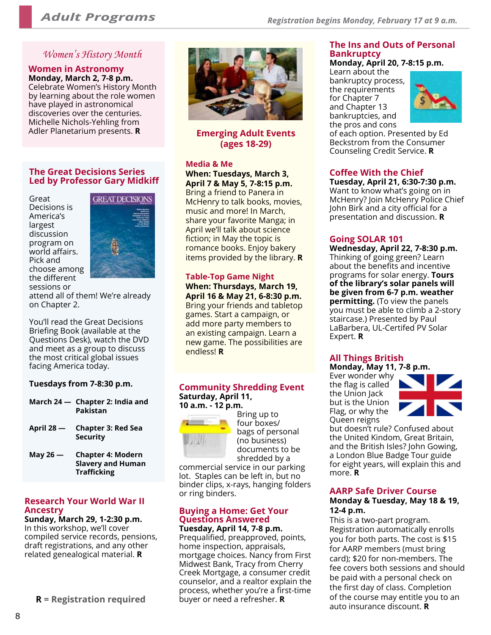## *Women's History Month*

## **Women in Astronomy**

**Monday, March 2, 7-8 p.m.**  Celebrate Women's History Month by learning about the role women have played in astronomical discoveries over the centuries. Michelle Nichols-Yehling from Adler Planetarium presents. **R**

#### **The Great Decisions Series Led by Professor Gary Midkiff**

Great Decisions is America's largest discussion program on world affairs. Pick and choose among the different sessions or



attend all of them! We're already on Chapter 2.

You'll read the Great Decisions Briefing Book (available at the Questions Desk), watch the DVD and meet as a group to discuss the most critical global issues facing America today.

## **Tuesdays from 7-8:30 p.m.**

- **March 24 Chapter 2: India and Pakistan**
- **April 28 Chapter 3: Red Sea Security**
- **May 26 Chapter 4: Modern Slavery and Human Trafficking**

#### **Research Your World War II Ancestry**

**Sunday, March 29, 1-2:30 p.m.** In this workshop, we'll cover compiled service records, pensions, draft registrations, and any other related genealogical material. **R**

**R = Registration required** buyer or need a refresher. **R**



## **Emerging Adult Events (ages 18-29)**

#### **Media & Me**

**When: Tuesdays, March 3, April 7 & May 5, 7-8:15 p.m.**  Bring a friend to Panera in McHenry to talk books, movies, music and more! In March, share your favorite Manga; in April we'll talk about science fiction; in May the topic is romance books. Enjoy bakery items provided by the library. **R**

#### **Table-Top Game Night When: Thursdays, March 19, April 16 & May 21, 6-8:30 p.m.**  Bring your friends and tabletop games. Start a campaign, or add more party members to

an existing campaign. Learn a new game. The possibilities are endless! **R** 

#### **Community Shredding Event Saturday, April 11, 10 a.m. - 12 p.m.**



Bring up to four boxes/ bags of personal (no business) documents to be shredded by a

commercial service in our parking lot. Staples can be left in, but no binder clips, x-rays, hanging folders or ring binders.

## **Buying a Home: Get Your Questions Answered**

**Tuesday, April 14, 7-8 p.m.** Prequalified, preapproved, points, home inspection, appraisals, mortgage choices. Nancy from First Midwest Bank, Tracy from Cherry Creek Mortgage, a consumer credit counselor, and a realtor explain the process, whether you're a first-time

#### **The Ins and Outs of Personal Bankruptcy Monday, April 20, 7-8:15 p.m.**

Learn about the bankruptcy process, the requirements for Chapter 7 and Chapter 13 bankruptcies, and



the pros and cons of each option. Presented by Ed Beckstrom from the Consumer Counseling Credit Service. **R**

## **Coffee With the Chief**

**Tuesday, April 21, 6:30-7:30 p.m.** Want to know what's going on in McHenry? Join McHenry Police Chief John Birk and a city official for a presentation and discussion. **R**

## **Going SOLAR 101**

**Wednesday, April 22, 7-8:30 p.m.** Thinking of going green? Learn about the benefits and incentive programs for solar energy. **Tours of the library's solar panels will be given from 6-7 p.m. weather permitting.** (To view the panels you must be able to climb a 2-story staircase.) Presented by Paul LaBarbera, UL-Certifed PV Solar Expert. **R**

#### **All Things British Monday, May 11, 7-8 p.m.**

Ever wonder why the flag is called the Union Jack but is the Union Flag, or why the Queen reigns



but doesn't rule? Confused about the United Kindom, Great Britain, and the British Isles? John Gowing, a London Blue Badge Tour guide for eight years, will explain this and more. **R**

## **AARP Safe Driver Course**

#### **Monday & Tuesday, May 18 & 19, 12-4 p.m.**

This is a two-part program. Registration automatically enrolls you for both parts. The cost is \$15 for AARP members (must bring card); \$20 for non-members. The fee covers both sessions and should be paid with a personal check on the first day of class. Completion of the course may entitle you to an auto insurance discount. **R**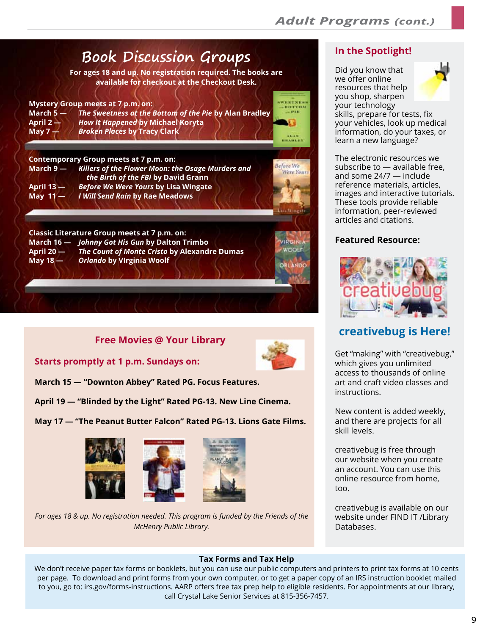

## **Free Movies @ Your Library**



**Starts promptly at 1 p.m. Sundays on:**

**March 15 — "Downton Abbey" Rated PG. Focus Features.**

**April 19 — "Blinded by the Light" Rated PG-13. New Line Cinema.**

**May 17 — "The Peanut Butter Falcon" Rated PG-13. Lions Gate Films.**



*For ages 18 & up. No registration needed. This program is funded by the Friends of the McHenry Public Library.*

## **In the Spotlight!**

Did you know that we offer online resources that help you shop, sharpen your technology skills, prepare for tests, fix your vehicles, look up medical information, do your taxes, or learn a new language?

The electronic resources we subscribe to — available free, and some 24/7 — include reference materials, articles, images and interactive tutorials. These tools provide reliable information, peer-reviewed articles and citations.

## **Featured Resource:**



## **creativebug is Here!**

Get "making" with "creativebug," which gives you unlimited access to thousands of online art and craft video classes and instructions.

New content is added weekly, and there are projects for all skill levels.

creativebug is free through our website when you create an account. You can use this online resource from home, too.

creativebug is available on our website under FIND IT /Library Databases.

#### **Tax Forms and Tax Help**

We don't receive paper tax forms or booklets, but you can use our public computers and printers to print tax forms at 10 cents per page. To download and print forms from your own computer, or to get a paper copy of an IRS instruction booklet mailed to you, go to: irs.gov/forms-instructions. AARP offers free tax prep help to eligible residents. For appointments at our library, call Crystal Lake Senior Services at 815-356-7457.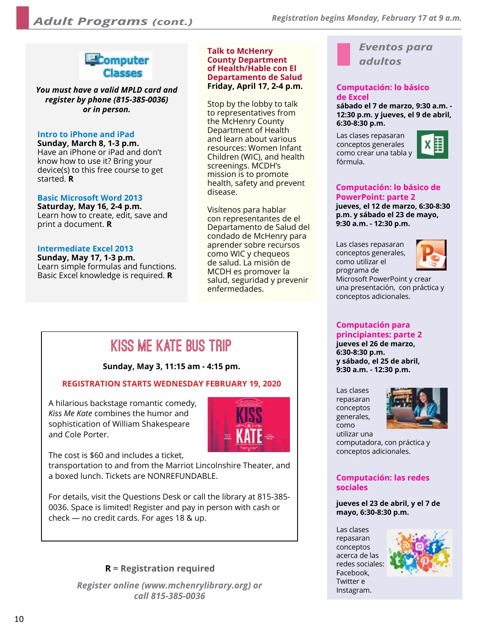

*You must have a valid MPLD card and register by phone (815-385-0036) or in person.*

## **Intro to iPhone and iPad**

**Sunday, March 8, 1-3 p.m.** Have an iPhone or iPad and don't know how to use it? Bring your device(s) to this free course to get started. **R**

#### **Basic Microsoft Word 2013**

**Saturday, May 16, 2-4 p.m.** Learn how to create, edit, save and print a document. **R**

#### **Intermediate Excel 2013**

**Sunday, May 17, 1-3 p.m.** Learn simple formulas and functions. Basic Excel knowledge is required. **R**

#### **Talk to McHenry County Department of Health/Hable con El Departamento de Salud Friday, April 17, 2-4 p.m.**

Stop by the lobby to talk to representatives from the McHenry County Department of Health and learn about various resources: Women Infant Children (WIC), and health screenings. MCDH's mission is to promote health, safety and prevent disease.

Visítenos para hablar con representantes de el Departamento de Salud del condado de McHenry para aprender sobre recursos como WIC y chequeos de salud. La misión de MCDH es promover la salud, seguridad y prevenir enfermedades.

## *Eventos para adultos*

#### **Computación: lo básico de Excel**

**sábado el 7 de marzo, 9:30 a.m. - 12:30 p.m. y jueves, el 9 de abril, 6:30-8:30 p.m.** 

Las clases repasaran conceptos generales como crear una tabla y fórmula.



## **Computación: lo básico de PowerPoint: parte 2**

**jueves, el 12 de marzo, 6:30-8:30 p.m. y sábado el 23 de mayo, 9:30 a.m. - 12:30 p.m.** 

Las clases repasaran conceptos generales, como utilizar el programa de



Microsoft PowerPoint y crear una presentación, con práctica y conceptos adicionales.

# **Kiss Me Kate Bus Trip**

#### **Sunday, May 3, 11:15 am - 4:15 pm.**

## **REGISTRATION STARTS WEDNESDAY FEBRUARY 19, 2020**

A hilarious backstage romantic comedy, *Kiss Me Kate* combines the humor and sophistication of William Shakespeare and Cole Porter.



The cost is \$60 and includes a ticket,

transportation to and from the Marriot Lincolnshire Theater, and a boxed lunch. Tickets are NONREFUNDABLE.

For details, visit the Questions Desk or call the library at 815-385- 0036. Space is limited! Register and pay in person with cash or check — no credit cards. For ages 18 & up.

## **R = Registration required**

*Register online (www.mchenrylibrary.org) or call 815-385-0036*

#### **Computación para principiantes: parte 2**

**jueves el 26 de marzo, 6:30-8:30 p.m. y sábado, el 25 de abril, 9:30 a.m. - 12:30 p.m.** 

Las clases repasaran conceptos generales, como utilizar una



computadora, con práctica y conceptos adicionales.

#### **Computación: las redes sociales**

**jueves el 23 de abril, y el 7 de mayo, 6:30-8:30 p.m.** 

Las clases repasaran conceptos acerca de las redes sociales: Facebook, Twitter e Instagram.

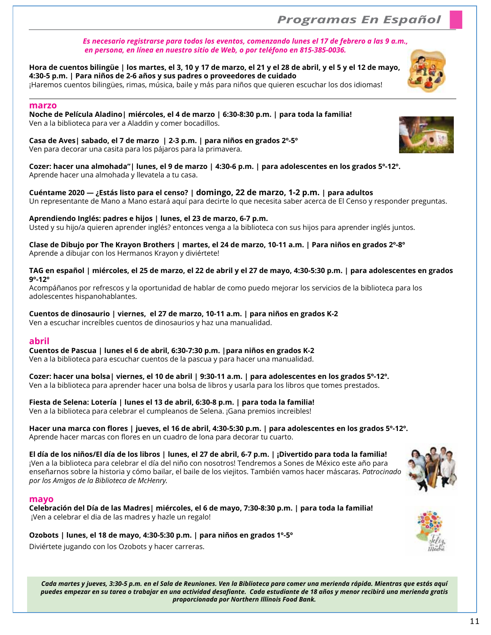## *Programas En Español*

#### *Es necesario registrarse para todos los eventos, comenzando lunes el 17 de febrero a las 9 a.m., en persona, en línea en nuestro sitio de Web, o por teléfono en 815-385-0036.*

## **Hora de cuentos bilingüe | los martes, el 3, 10 y 17 de marzo, el 21 y el 28 de abril, y el 5 y el 12 de mayo, 4:30-5 p.m. | Para niños de 2-6 años y sus padres o proveedores de cuidado**

¡Haremos cuentos bilingües, rimas, música, baile y más para niños que quieren escuchar los dos idiomas!

#### **marzo**

**Noche de Película Aladino| miércoles, el 4 de marzo | 6:30-8:30 p.m. | para toda la familia!** Ven a la biblioteca para ver a Aladdin y comer bocadillos.

**Casa de Aves| sabado, el 7 de marzo | 2-3 p.m. | para niños en grados 2º-5º** Ven para decorar una casita para los pájaros para la primavera.

**Cozer: hacer una almohada"| lunes, el 9 de marzo | 4:30-6 p.m. | para adolescentes en los grados 5º-12º.** Aprende hacer una almohada y llevatela a tu casa.

**Cuéntame 2020 — ¿Estás listo para el censo? | domingo, 22 de marzo, 1-2 p.m. | para adultos** Un representante de Mano a Mano estará aquí para decirte lo que necesita saber acerca de El Censo y responder preguntas.

#### **Aprendiendo Inglés: padres e hijos | lunes, el 23 de marzo, 6-7 p.m.**

Usted y su hijo/a quieren aprender inglés? entonces venga a la biblioteca con sus hijos para aprender inglés juntos.

**Clase de Dibujo por The Krayon Brothers | martes, el 24 de marzo, 10-11 a.m. | Para niños en grados 2º-8º** Aprende a dibujar con los Hermanos Krayon y diviértete!

#### **TAG en español | miércoles, el 25 de marzo, el 22 de abril y el 27 de mayo, 4:30-5:30 p.m. | para adolescentes en grados 9º-12º**

Acompáñanos por refrescos y la oportunidad de hablar de como puedo mejorar los servicios de la biblioteca para los adolescentes hispanohablantes.

**Cuentos de dinosaurio | viernes, el 27 de marzo, 10-11 a.m. | para niños en grados K-2**

Ven a escuchar increíbles cuentos de dinosaurios y haz una manualidad.

#### **abril**

**Cuentos de Pascua | lunes el 6 de abril, 6:30-7:30 p.m. |para niños en grados K-2** Ven a la biblioteca para escuchar cuentos de la pascua y para hacer una manualidad.

**Cozer: hacer una bolsa| viernes, el 10 de abril | 9:30-11 a.m. | para adolescentes en los grados 5º-12º.**

Ven a la biblioteca para aprender hacer una bolsa de libros y usarla para los libros que tomes prestados.

#### **Fiesta de Selena: Lotería | lunes el 13 de abril, 6:30-8 p.m. | para toda la familia!**

Ven a la biblioteca para celebrar el cumpleanos de Selena. ¡Gana premios increibles!

#### **Hacer una marca con flores | jueves, el 16 de abril, 4:30-5:30 p.m. | para adolescentes en los grados 5º-12º.** Aprende hacer marcas con flores en un cuadro de lona para decorar tu cuarto.

**El día de los niños/El día de los libros | lunes, el 27 de abril, 6-7 p.m. | ¡Divertido para toda la familia!** ¡Ven a la biblioteca para celebrar el día del niño con nosotros! Tendremos a Sones de México este año para enseñarnos sobre la historia y cómo bailar, el baile de los viejitos. También vamos hacer máscaras. *Patrocinado por los Amigos de la Biblioteca de McHenry.*

*Cada martes y jueves, 3:30-5 p.m. en el Sala de Reuniones. Ven la Biblioteca para comer una merienda rápida. Mientras que estás aquí* 

*proporcionada por Northern Illinois Food Bank.*

#### **mayo**

**Celebración del Día de las Madres| miércoles, el 6 de mayo, 7:30-8:30 p.m. | para toda la familia!** ¡Ven a celebrar el dia de las madres y hazle un regalo!

**Ozobots | lunes, el 18 de mayo, 4:30-5:30 p.m. | para niños en grados 1º-5º**

Diviértete jugando con los Ozobots y hacer carreras.